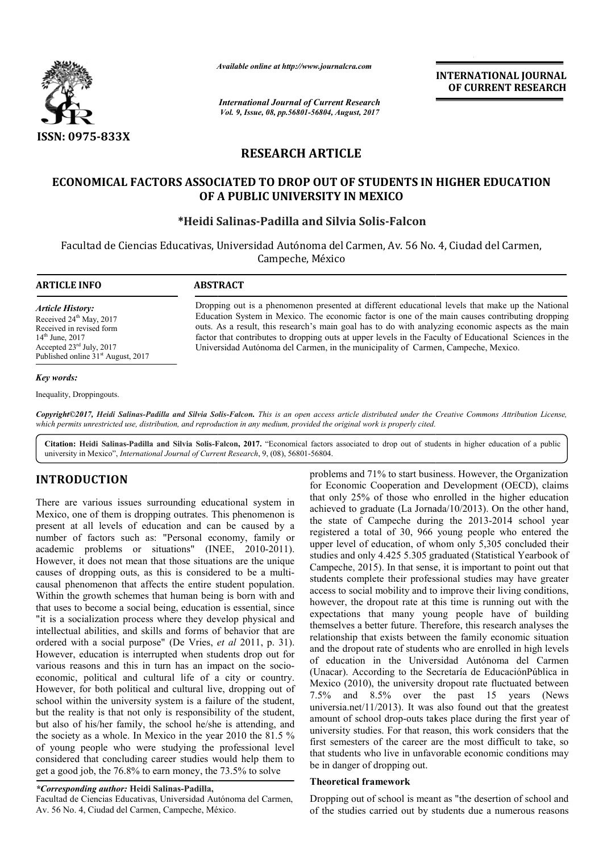

*Available online at http://www.journal http://www.journalcra.com*

*International Journal of Current Research Vol. 9, Issue, 08, pp.56801-56804, August, 2017*

**INTERNATIONAL JOURNAL OF CURRENT RESEARCH** 

# **RESEARCH ARTICLE**

## ECONOMICAL FACTORS ASSOCIATED TO DROP OUT OF STUDENTS IN HIGHER EDUCATION **OF A PUBLIC UNIVERSITY IN MEXICO**

## **\*Heidi Salinas Heidi Salinas-Padilla and Silvia Solis-Falcon**

Facultad de Ciencias Educativas, Universidad Autónoma del Carmen, Av. 56 No. 4, Ciudad del Carmen, Campeche, México

| <b>ARTICLE INFO</b>                                                                                                                                                                                              | <b>ABSTRACT</b>                                                                                                                                                                                                                                                                                                                                                                                                                                                                                          |
|------------------------------------------------------------------------------------------------------------------------------------------------------------------------------------------------------------------|----------------------------------------------------------------------------------------------------------------------------------------------------------------------------------------------------------------------------------------------------------------------------------------------------------------------------------------------------------------------------------------------------------------------------------------------------------------------------------------------------------|
| <i><b>Article History:</b></i><br>Received $24th$ May, 2017<br>Received in revised form<br>$14^{\text{th}}$ June, 2017<br>Accepted $23^{\text{rd}}$ July, 2017<br>Published online 31 <sup>st</sup> August, 2017 | Dropping out is a phenomenon presented at different educational levels that make up the National<br>Education System in Mexico. The economic factor is one of the main causes contributing dropping<br>outs. As a result, this research's main goal has to do with analyzing economic aspects as the main<br>factor that contributes to dropping outs at upper levels in the Faculty of Educational Sciences in the<br>Universidad Autónoma del Carmen, in the municipality of Carmen, Campeche, Mexico. |

#### *Key words:*

Inequality, Droppingouts.

Copyright©2017, Heidi Salinas-Padilla and Silvia Solis-Falcon. This is an open access article distributed under the Creative Commons Attribution License, which permits unrestricted use, distribution, and reproduction in any medium, provided the original work is properly cited.

Citation: Heidi Salinas-Padilla and Silvia Solis-Falcon, 2017. "Economical factors associated to drop out of students in higher education of a public university in Mexico", *International Journal of Current Research* , 9, (08), 56801-56804.

# **INTRODUCTION**

There are various issues surrounding educational system in Mexico, one of them is dropping outrates. This phenomenon is present at all levels of education and can be caused by a number of factors such as: "Personal economy, family or academic problems or situations" (INEE, 2010-2011). However, it does not mean that those situations are the unique causes of dropping outs, as this is considered to be a multicausal phenomenon that affects the entire student population. Within the growth schemes that human being is born with and that uses to become a social being, education is essential, since "it is a socialization process where they develop physical and intellectual abilities, and skills and forms of behavior that are ordered with a social purpose" (De Vries, *et al* 2011, p. 31). However, education is interrupted when students drop out for various reasons and this in turn has an impact on the socioeconomic, political and cultural life of a city or country. However, for both political and cultural live, dropping out of school within the university system is a failure of the student, but the reality is that not only is responsibility of the student, but also of his/her family, the school he/she is attending, and the society as a whole. In Mexico in the year 2010 the 81.5 % of young people who were studying the professional level considered that concluding career studies would help them to get a good job, the 76.8% to earn money, the 73.5% to solve This phenomenon is<br>can be caused by a<br>economy, family or<br>(INEE, 2010-2011).

#### *\*Corresponding author:* **Heidi Salinas-Padilla,**

Facultad de Ciencias Educativas, Universidad Autónoma del Carmen, Av. 56 No. 4, Ciudad del Carmen, Campeche, México.

nooting educational system in the cogal 71% to start business. However, the Organization of the anying outress. This phenomenon is a discussed of control 25% of those who enrolled in the higher education and cordinal the for Economic Cooperation and Development (OECD), claims that only 25% of those who enrolled in the higher education achieved to graduate (La Jornada/10/2013). On the other hand, the state of Campeche during the 2013-2014 school year registered a total of 30, 966 young people who entered the upper level of education, of whom only 5,305 concluded their studies and only 4.425 5.305 graduated (Statistical Yearbook of Campeche, 2015). In that sense, it is important to point out that Campeche, 2015). In that sense, it is important to point out that students complete their professional studies may have greater access to social mobility and to improve their living conditions, however, the dropout rate at this time is running out with the expectations that many young people have of building access to social mobility and to improve their living conditions, however, the dropout rate at this time is running out with the expectations that many young people have of building themselves a better future. Therefore, t relationship that exists between the family economic situation and the dropout rate of students who are enrolled in high levels of education in the Universidad Autónoma del Carmen relationship that exists between the family economic situation<br>and the dropout rate of students who are enrolled in high levels<br>of education in the Universidad Autónoma del Carmen<br>(Unacar). According to the Secretaría de E Mexico (2010), the university dropout rate fluctuated between 7.5% and 8.5% over the past 15 years (News universia.net/11/2013). It was also found out that the greatest amount of school drop-outs takes place during the first year of university studies. For that reason, this work considers that the first semesters of the career are the most difficult to take, so that students who live in unfavorable economic conditions may be in danger of dropping out. blems and 71% to start business. However, the Organization Economic Cooperation and Development (OECD), claims only 25% of those who enrolled in the higher education ieved to graduate (La Jornada/10/2013). On the other han **EXEREM SECT CONSTRANT CONSTRANT CONSTRANT CONSTRANT CONSTRANT CONSTRANT CONSTRANT CONSTRANT CONSTRANT CONSTRANT CONSTRANT CONSTRANT CONSTRANT CONSTRANT CONSTRANT CONSTRANT CONSTRANT CONSTRANT CONSTRANT CONSTRANT CONSTRAN** 

### **Theoretical framework**

Dropping out of school is meant as "the desertion of school and of the studies carried out by students due a numerous reasons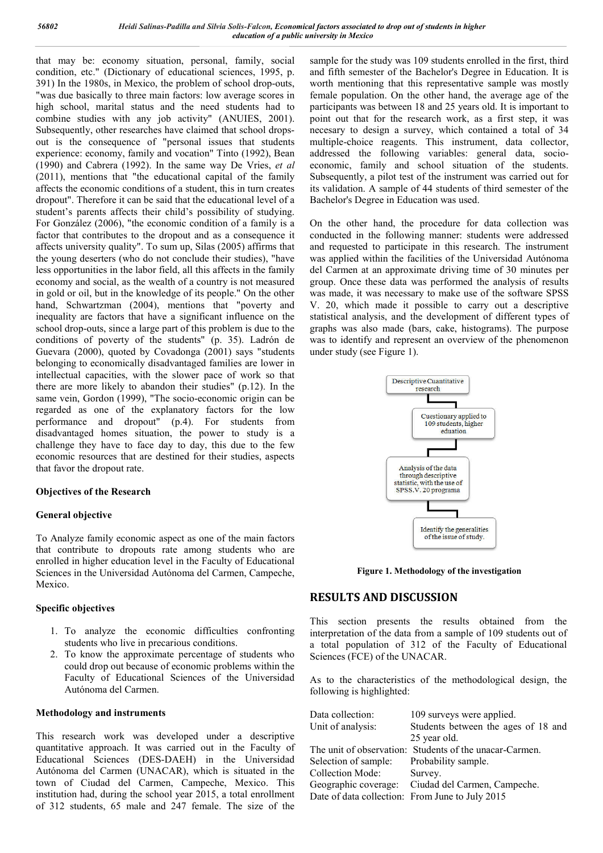that may be: economy situation, personal, family, social condition, etc." (Dictionary of educational sciences, 1995, p. 391) In the 1980s, in Mexico, the problem of school drop-outs, "was due basically to three main factors: low average scores in high school, marital status and the need students had to combine studies with any job activity" (ANUIES, 2001). Subsequently, other researches have claimed that school dropsout is the consequence of "personal issues that students experience: economy, family and vocation" Tinto (1992), Bean (1990) and Cabrera (1992). In the same way De Vries, *et al* (2011), mentions that "the educational capital of the family affects the economic conditions of a student, this in turn creates dropout". Therefore it can be said that the educational level of a student's parents affects their child's possibility of studying. For González (2006), "the economic condition of a family is a factor that contributes to the dropout and as a consequence it affects university quality". To sum up, Silas (2005) affirms that the young deserters (who do not conclude their studies), "have less opportunities in the labor field, all this affects in the family economy and social, as the wealth of a country is not measured in gold or oil, but in the knowledge of its people." On the other hand, Schwartzman (2004), mentions that "poverty and inequality are factors that have a significant influence on the school drop-outs, since a large part of this problem is due to the conditions of poverty of the students" (p. 35). Ladrón de Guevara (2000), quoted by Covadonga (2001) says "students belonging to economically disadvantaged families are lower in intellectual capacities, with the slower pace of work so that there are more likely to abandon their studies" (p.12). In the same vein, Gordon (1999), "The socio-economic origin can be regarded as one of the explanatory factors for the low performance and dropout" (p.4). For students from disadvantaged homes situation, the power to study is a challenge they have to face day to day, this due to the few economic resources that are destined for their studies, aspects that favor the dropout rate.

### **Objectives of the Research**

### **General objective**

To Analyze family economic aspect as one of the main factors that contribute to dropouts rate among students who are enrolled in higher education level in the Faculty of Educational Sciences in the Universidad Autónoma del Carmen, Campeche, Mexico.

#### **Specific objectives**

- 1. To analyze the economic difficulties confronting students who live in precarious conditions.
- 2. To know the approximate percentage of students who could drop out because of economic problems within the Faculty of Educational Sciences of the Universidad Autónoma del Carmen.

#### **Methodology and instruments**

This research work was developed under a descriptive quantitative approach. It was carried out in the Faculty of Educational Sciences (DES-DAEH) in the Universidad Autónoma del Carmen (UNACAR), which is situated in the town of Ciudad del Carmen, Campeche, Mexico. This institution had, during the school year 2015, a total enrollment of 312 students, 65 male and 247 female. The size of the

sample for the study was 109 students enrolled in the first, third and fifth semester of the Bachelor's Degree in Education. It is worth mentioning that this representative sample was mostly female population. On the other hand, the average age of the participants was between 18 and 25 years old. It is important to point out that for the research work, as a first step, it was necesary to design a survey, which contained a total of 34 multiple-choice reagents. This instrument, data collector, addressed the following variables: general data, socioeconomic, family and school situation of the students. Subsequently, a pilot test of the instrument was carried out for its validation. A sample of 44 students of third semester of the Bachelor's Degree in Education was used.

On the other hand, the procedure for data collection was conducted in the following manner: students were addressed and requested to participate in this research. The instrument was applied within the facilities of the Universidad Autónoma del Carmen at an approximate driving time of 30 minutes per group. Once these data was performed the analysis of results was made, it was necessary to make use of the software SPSS V. 20, which made it possible to carry out a descriptive statistical analysis, and the development of different types of graphs was also made (bars, cake, histograms). The purpose was to identify and represent an overview of the phenomenon under study (see Figure 1).



**Figure 1. Methodology of the investigation**

### **RESULTS AND DISCUSSION**

This section presents the results obtained from the interpretation of the data from a sample of 109 students out of a total population of 312 of the Faculty of Educational Sciences (FCE) of the UNACAR.

As to the characteristics of the methodological design, the following is highlighted:

| Data collection:                                | 109 surveys were applied.                               |
|-------------------------------------------------|---------------------------------------------------------|
| Unit of analysis:                               | Students between the ages of 18 and                     |
|                                                 | 25 year old.                                            |
|                                                 | The unit of observation: Students of the unacar-Carmen. |
| Selection of sample:                            | Probability sample.                                     |
| Collection Mode:                                | Survey.                                                 |
| Geographic coverage:                            | Ciudad del Carmen, Campeche.                            |
| Date of data collection: From June to July 2015 |                                                         |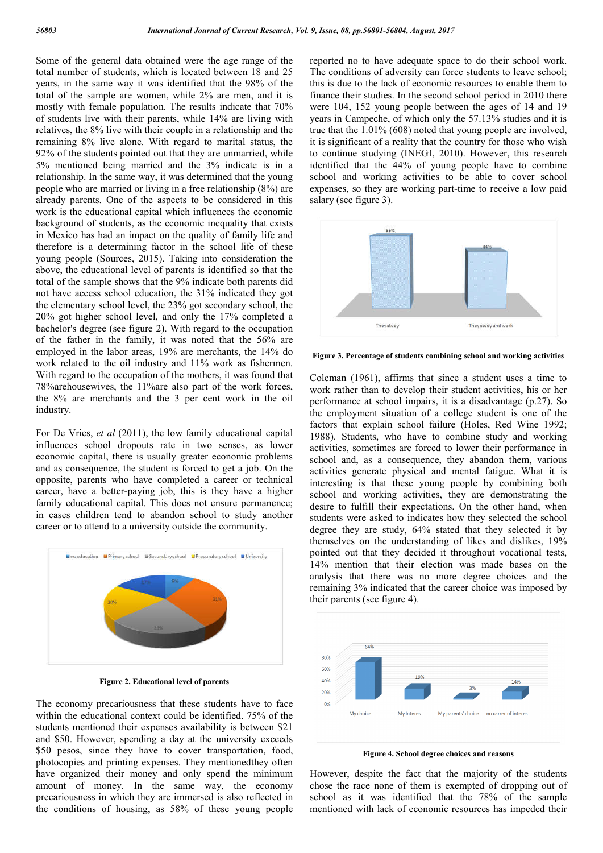Some of the general data obtained were the age range of the total number of students, which is located between 18 and 25 years, in the same way it was identified that the 98% of the total of the sample are women, while 2% are men, and it is mostly with female population. The results indicate that 70% of students live with their parents, while 14% are living with relatives, the 8% live with their couple in a relationship and the remaining 8% live alone. With regard to marital status, the 92% of the students pointed out that they are unmarried, while 5% mentioned being married and the 3% indicate is in a relationship. In the same way, it was determined that the young people who are married or living in a free relationship (8%) are already parents. One of the aspects to be considered in this work is the educational capital which influences the economic background of students, as the economic inequality that exists in Mexico has had an impact on the quality of family life and therefore is a determining factor in the school life of these young people (Sources, 2015). Taking into consideration the above, the educational level of parents is identified so that the total of the sample shows that the 9% indicate both parents did not have access school education, the 31% indicated they got the elementary school level, the 23% got secondary school, the 20% got higher school level, and only the 17% completed a bachelor's degree (see figure 2). With regard to the occupation of the father in the family, it was noted that the 56% are employed in the labor areas, 19% are merchants, the 14% do work related to the oil industry and 11% work as fishermen. With regard to the occupation of the mothers, it was found that 78%arehousewives, the 11%are also part of the work forces, the 8% are merchants and the 3 per cent work in the oil industry.

For De Vries, *et al* (2011), the low family educational capital influences school dropouts rate in two senses, as lower economic capital, there is usually greater economic problems and as consequence, the student is forced to get a job. On the opposite, parents who have completed a career or technical career, have a better-paying job, this is they have a higher family educational capital. This does not ensure permanence; in cases children tend to abandon school to study another career or to attend to a university outside the community.



**Figure 2. Educational level of parents**

The economy precariousness that these students have to face within the educational context could be identified. 75% of the students mentioned their expenses availability is between \$21 and \$50. However, spending a day at the university exceeds \$50 pesos, since they have to cover transportation, food, photocopies and printing expenses. They mentionedthey often have organized their money and only spend the minimum amount of money. In the same way, the economy precariousness in which they are immersed is also reflected in the conditions of housing, as 58% of these young people

reported no to have adequate space to do their school work. The conditions of adversity can force students to leave school; this is due to the lack of economic resources to enable them to finance their studies. In the second school period in 2010 there were 104, 152 young people between the ages of 14 and 19 years in Campeche, of which only the 57.13% studies and it is true that the 1.01% (608) noted that young people are involved, it is significant of a reality that the country for those who wish to continue studying (INEGI, 2010). However, this research identified that the 44% of young people have to combine school and working activities to be able to cover school expenses, so they are working part-time to receive a low paid salary (see figure 3).



**Figure 3. Percentage of students combining school and working activities**

Coleman (1961), affirms that since a student uses a time to work rather than to develop their student activities, his or her performance at school impairs, it is a disadvantage (p.27). So the employment situation of a college student is one of the factors that explain school failure (Holes, Red Wine 1992; 1988). Students, who have to combine study and working activities, sometimes are forced to lower their performance in school and, as a consequence, they abandon them, various activities generate physical and mental fatigue. What it is interesting is that these young people by combining both school and working activities, they are demonstrating the desire to fulfill their expectations. On the other hand, when students were asked to indicates how they selected the school degree they are study, 64% stated that they selected it by themselves on the understanding of likes and dislikes, 19% pointed out that they decided it throughout vocational tests, 14% mention that their election was made bases on the analysis that there was no more degree choices and the remaining 3% indicated that the career choice was imposed by their parents (see figure 4).



**Figure 4. School degree choices and reasons**

However, despite the fact that the majority of the students chose the race none of them is exempted of dropping out of school as it was identified that the 78% of the sample mentioned with lack of economic resources has impeded their